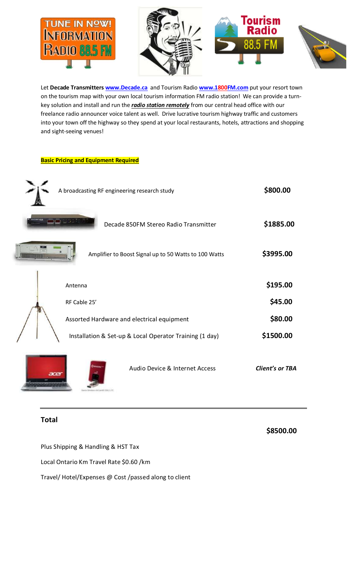

Let **Decade Transmitters [www.Decade.ca](http://www.decade.ca/)** and Tourism Radio **[www.1800FM.com](http://www.1800fm.com/)** put your resort town on the tourism map with your own local tourism information FM radio station! We can provide a turnkey solution and install and run the *radio station remotely* from our central head office with our freelance radio announcer voice talent as well. Drive lucrative tourism highway traffic and customers into your town off the highway so they spend at your local restaurants, hotels, attractions and shopping and sight-seeing venues!

**Basic Pricing and Equipment Required**

|      | A broadcasting RF engineering research study |                                                         | \$800.00        |
|------|----------------------------------------------|---------------------------------------------------------|-----------------|
|      |                                              | Decade 850FM Stereo Radio Transmitter                   | \$1885.00       |
|      |                                              | Amplifier to Boost Signal up to 50 Watts to 100 Watts   | \$3995.00       |
|      | Antenna                                      |                                                         | \$195.00        |
|      | RF Cable 25'                                 |                                                         | \$45.00         |
|      | Assorted Hardware and electrical equipment   |                                                         | \$80.00         |
|      |                                              | Installation & Set-up & Local Operator Training (1 day) | \$1500.00       |
| acer |                                              | Audio Device & Internet Access                          | Client's or TBA |

## **Total**

 **\$8500.00**

Plus Shipping & Handling & HST Tax

Local Ontario Km Travel Rate \$0.60 /km

Travel/ Hotel/Expenses @ Cost /passed along to client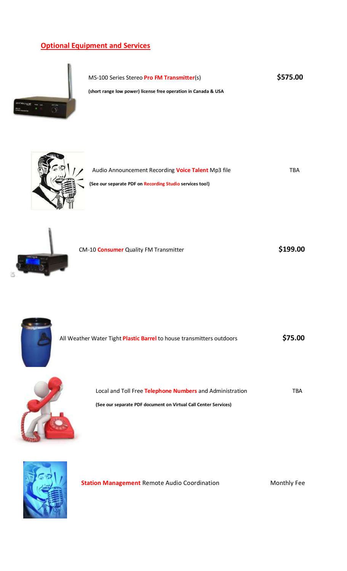## **Optional Equipment and Services**



MS-100 Series Stereo **Pro FM Transmitter**(s) **\$575.00**

**(short range low power) license free operation in Canada & USA**



| Audio Announcement Recording <b>Voice Talent</b> Mp3 file | TRA |
|-----------------------------------------------------------|-----|
| (See our separate PDF on Recording Studio services too!)  |     |



| CM-10 <b>Consumer</b> Quality FM Transmitter | \$199.00 |
|----------------------------------------------|----------|
|----------------------------------------------|----------|



All Weather Water Tight **Plastic Barrel** to house transmitters outdoors **\$75.00**



Local and Toll Free **Telephone Numbers** and Administration TBA **(See our separate PDF document on Virtual Call Center Services)**



**Station Management** Remote Audio Coordination **Monthly Fee**